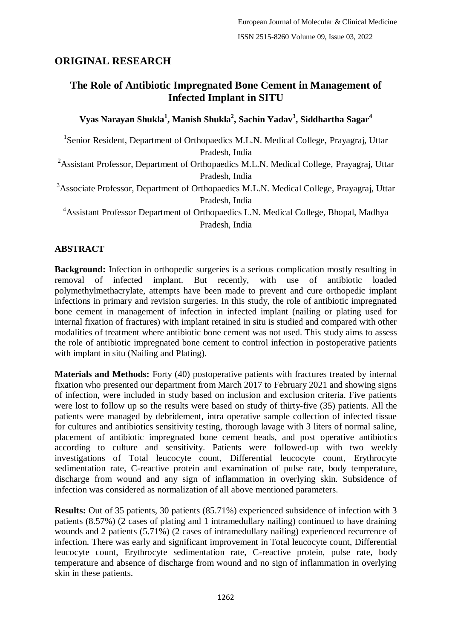# **ORIGINAL RESEARCH**

# **The Role of Antibiotic Impregnated Bone Cement in Management of Infected Implant in SITU**

**Vyas Narayan Shukla<sup>1</sup> , Manish Shukla<sup>2</sup> , Sachin Yadav<sup>3</sup> , Siddhartha Sagar<sup>4</sup>**

<sup>1</sup>Senior Resident, Department of Orthopaedics M.L.N. Medical College, Prayagraj, Uttar Pradesh, India

<sup>2</sup>Assistant Professor, Department of Orthopaedics M.L.N. Medical College, Prayagraj, Uttar Pradesh, India

<sup>3</sup>Associate Professor, Department of Orthopaedics M.L.N. Medical College, Prayagraj, Uttar Pradesh, India

<sup>4</sup>Assistant Professor Department of Orthopaedics L.N. Medical College, Bhopal, Madhya Pradesh, India

# **ABSTRACT**

**Background:** Infection in orthopedic surgeries is a serious complication mostly resulting in removal of infected implant. But recently, with use of antibiotic loaded polymethylmethacrylate, attempts have been made to prevent and cure orthopedic implant infections in primary and revision surgeries. In this study, the role of antibiotic impregnated bone cement in management of infection in infected implant (nailing or plating used for internal fixation of fractures) with implant retained in situ is studied and compared with other modalities of treatment where antibiotic bone cement was not used. This study aims to assess the role of antibiotic impregnated bone cement to control infection in postoperative patients with implant in situ (Nailing and Plating).

**Materials and Methods:** Forty (40) postoperative patients with fractures treated by internal fixation who presented our department from March 2017 to February 2021 and showing signs of infection, were included in study based on inclusion and exclusion criteria. Five patients were lost to follow up so the results were based on study of thirty-five (35) patients. All the patients were managed by debridement, intra operative sample collection of infected tissue for cultures and antibiotics sensitivity testing, thorough lavage with 3 liters of normal saline, placement of antibiotic impregnated bone cement beads, and post operative antibiotics according to culture and sensitivity. Patients were followed-up with two weekly investigations of Total leucocyte count, Differential leucocyte count, Erythrocyte sedimentation rate, C-reactive protein and examination of pulse rate, body temperature, discharge from wound and any sign of inflammation in overlying skin. Subsidence of infection was considered as normalization of all above mentioned parameters.

**Results:** Out of 35 patients, 30 patients (85.71%) experienced subsidence of infection with 3 patients (8.57%) (2 cases of plating and 1 intramedullary nailing) continued to have draining wounds and 2 patients (5.71%) (2 cases of intramedullary nailing) experienced recurrence of infection. There was early and significant improvement in Total leucocyte count, Differential leucocyte count, Erythrocyte sedimentation rate, C-reactive protein, pulse rate, body temperature and absence of discharge from wound and no sign of inflammation in overlying skin in these patients.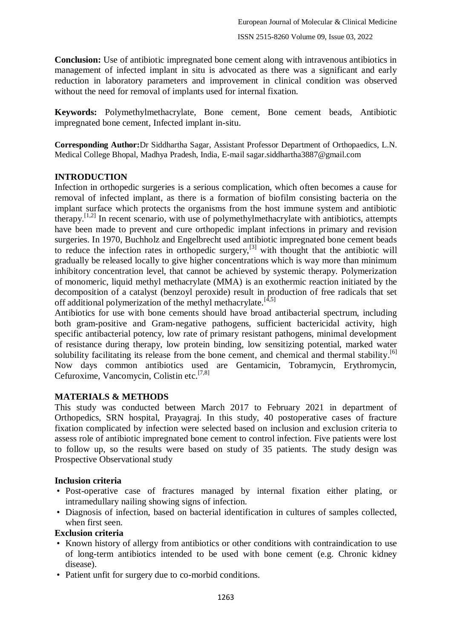**Conclusion:** Use of antibiotic impregnated bone cement along with intravenous antibiotics in management of infected implant in situ is advocated as there was a significant and early reduction in laboratory parameters and improvement in clinical condition was observed without the need for removal of implants used for internal fixation.

**Keywords:** Polymethylmethacrylate, Bone cement, Bone cement beads, Antibiotic impregnated bone cement, Infected implant in-situ.

**Corresponding Author:**Dr Siddhartha Sagar, Assistant Professor Department of Orthopaedics, L.N. Medical College Bhopal, Madhya Pradesh, India, E-mail sagar.siddhartha3887@gmail.com

#### **INTRODUCTION**

Infection in orthopedic surgeries is a serious complication, which often becomes a cause for removal of infected implant, as there is a formation of biofilm consisting bacteria on the implant surface which protects the organisms from the host immune system and antibiotic therapy. [1,2] In recent scenario, with use of polymethylmethacrylate with antibiotics, attempts have been made to prevent and cure orthopedic implant infections in primary and revision surgeries. In 1970, Buchholz and Engelbrecht used antibiotic impregnated bone cement beads to reduce the infection rates in orthopedic surgery,<sup>[3]</sup> with thought that the antibiotic will gradually be released locally to give higher concentrations which is way more than minimum inhibitory concentration level, that cannot be achieved by systemic therapy. Polymerization of monomeric, liquid methyl methacrylate (MMA) is an exothermic reaction initiated by the decomposition of a catalyst (benzoyl peroxide) result in production of free radicals that set off additional polymerization of the methyl methacrylate.<sup>[4,5]</sup>

Antibiotics for use with bone cements should have broad antibacterial spectrum, including both gram-positive and Gram-negative pathogens, sufficient bactericidal activity, high specific antibacterial potency, low rate of primary resistant pathogens, minimal development of resistance during therapy, low protein binding, low sensitizing potential, marked water solubility facilitating its release from the bone cement, and chemical and thermal stability.<sup>[6]</sup> Now days common antibiotics used are Gentamicin, Tobramycin, Erythromycin, Cefuroxime, Vancomycin, Colistin etc. [7,8]

### **MATERIALS & METHODS**

This study was conducted between March 2017 to February 2021 in department of Orthopedics, SRN hospital, Prayagraj. In this study, 40 postoperative cases of fracture fixation complicated by infection were selected based on inclusion and exclusion criteria to assess role of antibiotic impregnated bone cement to control infection. Five patients were lost to follow up, so the results were based on study of 35 patients. The study design was Prospective Observational study

#### **Inclusion criteria**

- Post-operative case of fractures managed by internal fixation either plating, or intramedullary nailing showing signs of infection.
- Diagnosis of infection, based on bacterial identification in cultures of samples collected, when first seen.

#### **Exclusion criteria**

- Known history of allergy from antibiotics or other conditions with contraindication to use of long-term antibiotics intended to be used with bone cement (e.g. Chronic kidney disease).
- Patient unfit for surgery due to co-morbid conditions.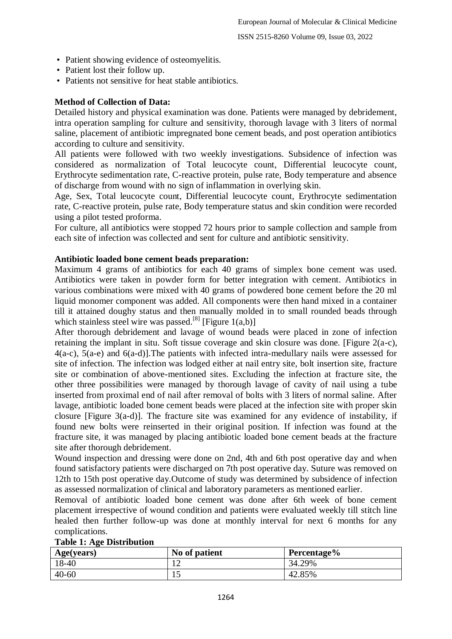- Patient showing evidence of osteomyelitis.
- Patient lost their follow up.
- Patients not sensitive for heat stable antibiotics.

## **Method of Collection of Data:**

Detailed history and physical examination was done. Patients were managed by debridement, intra operation sampling for culture and sensitivity, thorough lavage with 3 liters of normal saline, placement of antibiotic impregnated bone cement beads, and post operation antibiotics according to culture and sensitivity.

All patients were followed with two weekly investigations. Subsidence of infection was considered as normalization of Total leucocyte count, Differential leucocyte count, Erythrocyte sedimentation rate, C-reactive protein, pulse rate, Body temperature and absence of discharge from wound with no sign of inflammation in overlying skin.

Age, Sex, Total leucocyte count, Differential leucocyte count, Erythrocyte sedimentation rate, C-reactive protein, pulse rate, Body temperature status and skin condition were recorded using a pilot tested proforma.

For culture, all antibiotics were stopped 72 hours prior to sample collection and sample from each site of infection was collected and sent for culture and antibiotic sensitivity.

#### **Antibiotic loaded bone cement beads preparation:**

Maximum 4 grams of antibiotics for each 40 grams of simplex bone cement was used. Antibiotics were taken in powder form for better integration with cement. Antibiotics in various combinations were mixed with 40 grams of powdered bone cement before the 20 ml liquid monomer component was added. All components were then hand mixed in a container till it attained doughy status and then manually molded in to small rounded beads through which stainless steel wire was passed.<sup>[8]</sup> [Figure 1(a,b)]

After thorough debridement and lavage of wound beads were placed in zone of infection retaining the implant in situ. Soft tissue coverage and skin closure was done. [Figure 2(a-c), 4(a-c), 5(a-e) and 6(a-d)].The patients with infected intra-medullary nails were assessed for site of infection. The infection was lodged either at nail entry site, bolt insertion site, fracture site or combination of above-mentioned sites. Excluding the infection at fracture site, the other three possibilities were managed by thorough lavage of cavity of nail using a tube inserted from proximal end of nail after removal of bolts with 3 liters of normal saline. After lavage, antibiotic loaded bone cement beads were placed at the infection site with proper skin closure [Figure 3(a-d)]. The fracture site was examined for any evidence of instability, if found new bolts were reinserted in their original position. If infection was found at the fracture site, it was managed by placing antibiotic loaded bone cement beads at the fracture site after thorough debridement.

Wound inspection and dressing were done on 2nd, 4th and 6th post operative day and when found satisfactory patients were discharged on 7th post operative day. Suture was removed on 12th to 15th post operative day.Outcome of study was determined by subsidence of infection as assessed normalization of clinical and laboratory parameters as mentioned earlier.

Removal of antibiotic loaded bone cement was done after 6th week of bone cement placement irrespective of wound condition and patients were evaluated weekly till stitch line healed then further follow-up was done at monthly interval for next 6 months for any complications.

| Age(years) | No of patient | Percentage% |
|------------|---------------|-------------|
| 18-40      |               | 34.29%      |
| $40 - 60$  | ⊥⊷            | 42.85%      |

#### **Table 1: Age Distribution**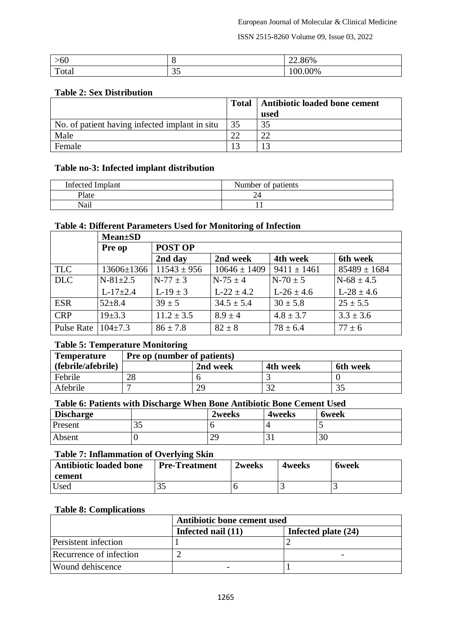ISSN 2515-8260 Volume 09, Issue 03, 2022

| -66<br>'UU            |                     | $\sim$ $\sim$<br>22.80% |
|-----------------------|---------------------|-------------------------|
| $\mathbf{m}$<br>Total | $\sim$ $\sim$<br>ັບ | 0%                      |

#### **Table 2: Sex Distribution**

|                                                | <b>Total</b> | Antibiotic loaded bone cement |
|------------------------------------------------|--------------|-------------------------------|
|                                                |              | used                          |
| No. of patient having infected implant in situ | 35           | 35                            |
| Male                                           | າາ           | ററ                            |
| Female                                         |              | 13                            |

#### **Table no-3: Infected implant distribution**

| <b>Infected Implant</b> | Number of patients |
|-------------------------|--------------------|
| Plate                   | ~                  |
| Nail                    |                    |

#### **Table 4: Different Parameters Used for Monitoring of Infection**

|            | <b>Mean</b> ±SD  |                 |                  |                 |                  |
|------------|------------------|-----------------|------------------|-----------------|------------------|
|            | Pre op           | <b>POST OP</b>  |                  |                 |                  |
|            |                  | 2nd day         | 2nd week         | 4th week        | 6th week         |
| <b>TLC</b> | $13606 \pm 1366$ | $11543 \pm 956$ | $10646 \pm 1409$ | $9411 \pm 1461$ | $85489 \pm 1684$ |
| <b>DLC</b> | $N-81+2.5$       | $N-77 \pm 3$    | $N-75 \pm 4$     | $N-70 \pm 5$    | $N-68 \pm 4.5$   |
|            | $L-17\pm 2.4$    | $L-19 \pm 3$    | $L-22 \pm 4.2$   | $L-26 \pm 4.6$  | $L-28 \pm 4.6$   |
| <b>ESR</b> | $52 + 8.4$       | $39 \pm 5$      | $34.5 \pm 5.4$   | $30 \pm 5.8$    | $25 \pm 5.5$     |
| <b>CRP</b> | $19 + 3.3$       | $11.2 \pm 3.5$  | $8.9 \pm 4$      | $4.8 \pm 3.7$   | $3.3 \pm 3.6$    |
| Pulse Rate | $104\pm7.3$      | $86 \pm 7.8$    | $82 \pm 8$       | $78 \pm 6.4$    | $77 \pm 6$       |

### **Table 5: Temperature Monitoring**

| <b>Temperature</b> | <b>Pre op (number of patients)</b> |          |             |          |
|--------------------|------------------------------------|----------|-------------|----------|
| (febrile/afebrile) |                                    | 2nd week | 4th week    | 6th week |
| Febrile            | 28                                 |          |             |          |
| Afebrile           |                                    | 29       | $2^{\circ}$ |          |

#### **Table 6: Patients with Discharge When Bone Antibiotic Bone Cement Used**

| <b>Discharge</b> |           | 2weeks                      | 4weeks  | <b>6week</b> |
|------------------|-----------|-----------------------------|---------|--------------|
| Present          | າ ເ<br>JJ |                             |         |              |
| Absent           |           | $\gamma$ <sup>o</sup><br>42 | 2<br>ЭI | 30           |

#### **Table 7: Inflammation of Overlying Skin**

| <b>Antibiotic loaded bone</b><br>cement | <b>Pre-Treatment</b> | 2weeks | 4 weeks | 6week |
|-----------------------------------------|----------------------|--------|---------|-------|
| Used                                    |                      |        |         |       |

#### **Table 8: Complications**

|                             | Antibiotic bone cement used |                     |  |
|-----------------------------|-----------------------------|---------------------|--|
|                             | Infected nail (11)          | Infected plate (24) |  |
| <b>Persistent</b> infection |                             |                     |  |
| Recurrence of infection     |                             |                     |  |
| Wound dehiscence            |                             |                     |  |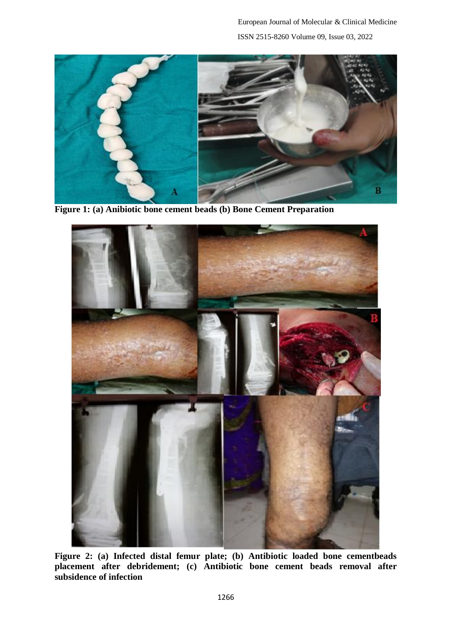

**Figure 1: (a) Anibiotic bone cement beads (b) Bone Cement Preparation**



**Figure 2: (a) Infected distal femur plate; (b) Antibiotic loaded bone cementbeads placement after debridement; (c) Antibiotic bone cement beads removal after subsidence of infection**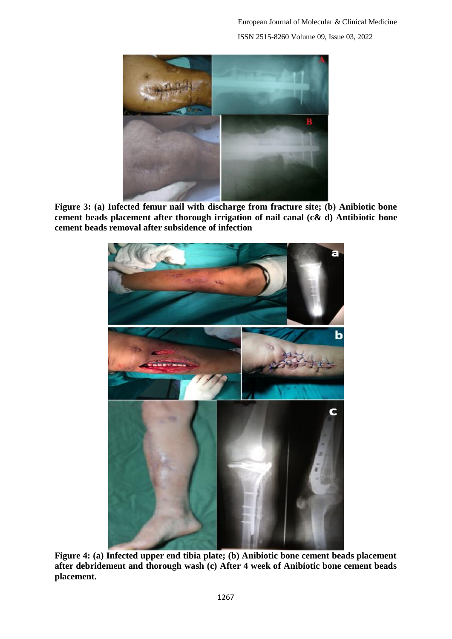European Journal of Molecular & Clinical Medicine ISSN 2515-8260 Volume 09, Issue 03, 2022



**Figure 3: (a) Infected femur nail with discharge from fracture site; (b) Anibiotic bone cement beads placement after thorough irrigation of nail canal (c& d) Antibiotic bone cement beads removal after subsidence of infection**



**Figure 4: (a) Infected upper end tibia plate; (b) Anibiotic bone cement beads placement after debridement and thorough wash (c) After 4 week of Anibiotic bone cement beads placement.**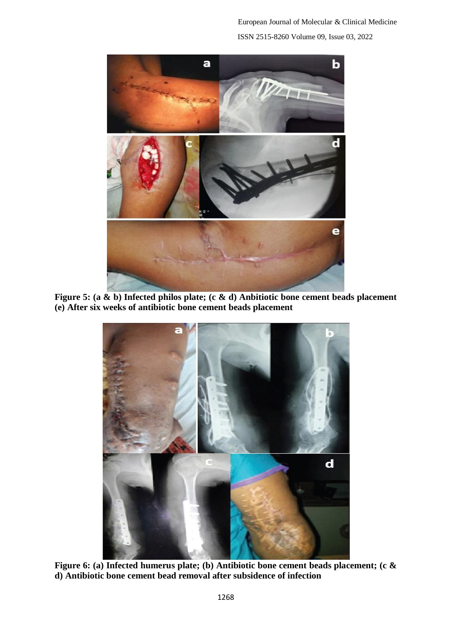European Journal of Molecular & Clinical Medicine ISSN 2515-8260 Volume 09, Issue 03, 2022



**Figure 5: (a & b) Infected philos plate; (c & d) Anbitiotic bone cement beads placement (e) After six weeks of antibiotic bone cement beads placement**



**Figure 6: (a) Infected humerus plate; (b) Antibiotic bone cement beads placement; (c & d) Antibiotic bone cement bead removal after subsidence of infection**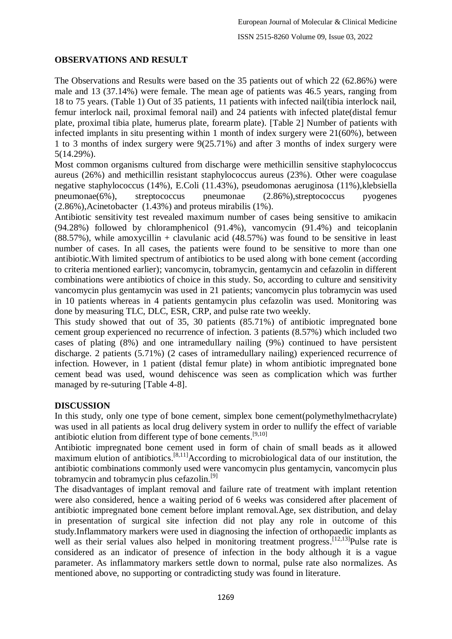## **OBSERVATIONS AND RESULT**

The Observations and Results were based on the 35 patients out of which 22 (62.86%) were male and 13 (37.14%) were female. The mean age of patients was 46.5 years, ranging from 18 to 75 years. (Table 1) Out of 35 patients, 11 patients with infected nail(tibia interlock nail, femur interlock nail, proximal femoral nail) and 24 patients with infected plate(distal femur plate, proximal tibia plate, humerus plate, forearm plate). [Table 2] Number of patients with infected implants in situ presenting within 1 month of index surgery were 21(60%), between 1 to 3 months of index surgery were 9(25.71%) and after 3 months of index surgery were 5(14.29%).

Most common organisms cultured from discharge were methicillin sensitive staphylococcus aureus (26%) and methicillin resistant staphylococcus aureus (23%). Other were coagulase negative staphylococcus (14%), E.Coli (11.43%), pseudomonas aeruginosa (11%),klebsiella pneumonae(6%), streptococcus pneumonae (2.86%),streptococcus pyogenes (2.86%),Acinetobacter (1.43%) and proteus mirabilis (1%).

Antibiotic sensitivity test revealed maximum number of cases being sensitive to amikacin (94.28%) followed by chloramphenicol (91.4%), vancomycin (91.4%) and teicoplanin  $(88.57%)$ , while amoxycillin + clavulanic acid  $(48.57%)$  was found to be sensitive in least number of cases. In all cases, the patients were found to be sensitive to more than one antibiotic.With limited spectrum of antibiotics to be used along with bone cement (according to criteria mentioned earlier); vancomycin, tobramycin, gentamycin and cefazolin in different combinations were antibiotics of choice in this study. So, according to culture and sensitivity vancomycin plus gentamycin was used in 21 patients; vancomycin plus tobramycin was used in 10 patients whereas in 4 patients gentamycin plus cefazolin was used. Monitoring was done by measuring TLC, DLC, ESR, CRP, and pulse rate two weekly.

This study showed that out of 35, 30 patients (85.71%) of antibiotic impregnated bone cement group experienced no recurrence of infection. 3 patients (8.57%) which included two cases of plating (8%) and one intramedullary nailing (9%) continued to have persistent discharge. 2 patients (5.71%) (2 cases of intramedullary nailing) experienced recurrence of infection. However, in 1 patient (distal femur plate) in whom antibiotic impregnated bone cement bead was used, wound dehiscence was seen as complication which was further managed by re-suturing [Table 4-8].

### **DISCUSSION**

In this study, only one type of bone cement, simplex bone cement(polymethylmethacrylate) was used in all patients as local drug delivery system in order to nullify the effect of variable antibiotic elution from different type of bone cements. [9,10]

Antibiotic impregnated bone cement used in form of chain of small beads as it allowed maximum elution of antibiotics.<sup>[8,11]</sup>According to microbiological data of our institution, the antibiotic combinations commonly used were vancomycin plus gentamycin, vancomycin plus tobramycin and tobramycin plus cefazolin.<sup>[9]</sup>

The disadvantages of implant removal and failure rate of treatment with implant retention were also considered, hence a waiting period of 6 weeks was considered after placement of antibiotic impregnated bone cement before implant removal.Age, sex distribution, and delay in presentation of surgical site infection did not play any role in outcome of this study.Inflammatory markers were used in diagnosing the infection of orthopaedic implants as well as their serial values also helped in monitoring treatment progress.<sup>[12,13]</sup>Pulse rate is considered as an indicator of presence of infection in the body although it is a vague parameter. As inflammatory markers settle down to normal, pulse rate also normalizes. As mentioned above, no supporting or contradicting study was found in literature.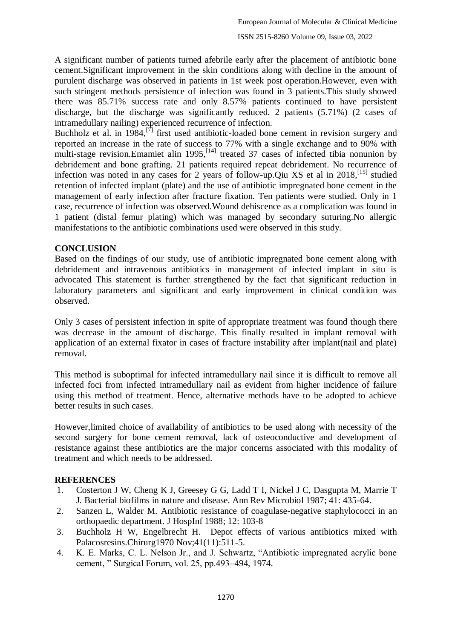A significant number of patients turned afebrile early after the placement of antibiotic bone cement.Significant improvement in the skin conditions along with decline in the amount of purulent discharge was observed in patients in 1st week post operation.However, even with such stringent methods persistence of infection was found in 3 patients.This study showed there was 85.71% success rate and only 8.57% patients continued to have persistent discharge, but the discharge was significantly reduced. 2 patients (5.71%) (2 cases of intramedullary nailing) experienced recurrence of infection.

Buchholz et al. in  $1984$ ,<sup>[7]</sup> first used antibiotic-loaded bone cement in revision surgery and reported an increase in the rate of success to 77% with a single exchange and to 90% with multi-stage revision. Emamiet alin 1995,<sup>[14]</sup> treated 37 cases of infected tibia nonunion by debridement and bone grafting. 21 patients required repeat debridement. No recurrence of infection was noted in any cases for 2 years of follow-up.Qiu XS et al in 2018, [15] studied retention of infected implant (plate) and the use of antibiotic impregnated bone cement in the management of early infection after fracture fixation. Ten patients were studied. Only in 1 case, recurrence of infection was observed.Wound dehiscence as a complication was found in 1 patient (distal femur plating) which was managed by secondary suturing.No allergic manifestations to the antibiotic combinations used were observed in this study.

### **CONCLUSION**

Based on the findings of our study, use of antibiotic impregnated bone cement along with debridement and intravenous antibiotics in management of infected implant in situ is advocated This statement is further strengthened by the fact that significant reduction in laboratory parameters and significant and early improvement in clinical condition was observed.

Only 3 cases of persistent infection in spite of appropriate treatment was found though there was decrease in the amount of discharge. This finally resulted in implant removal with application of an external fixator in cases of fracture instability after implant(nail and plate) removal.

This method is suboptimal for infected intramedullary nail since it is difficult to remove all infected foci from infected intramedullary nail as evident from higher incidence of failure using this method of treatment. Hence, alternative methods have to be adopted to achieve better results in such cases.

However,limited choice of availability of antibiotics to be used along with necessity of the second surgery for bone cement removal, lack of osteoconductive and development of resistance against these antibiotics are the major concerns associated with this modality of treatment and which needs to be addressed.

# **REFERENCES**

- 1. Costerton J W, Cheng K J, Greesey G G, Ladd T I, Nickel J C, Dasgupta M, Marrie T J. Bacterial biofilms in nature and disease. Ann Rev Microbiol 1987; 41: 435-64.
- 2. Sanzen L, Walder M. Antibiotic resistance of coagulase-negative staphylococci in an orthopaedic department. J HospInf 1988; 12: 103-8
- 3. Buchholz H W, Engelbrecht H. Depot effects of various antibiotics mixed with Palacosresins.Chirurg1970 Nov;41(11):511-5.
- 4. K. E. Marks, C. L. Nelson Jr., and J. Schwartz, "Antibiotic impregnated acrylic bone cement, " Surgical Forum, vol. 25, pp.493–494, 1974.